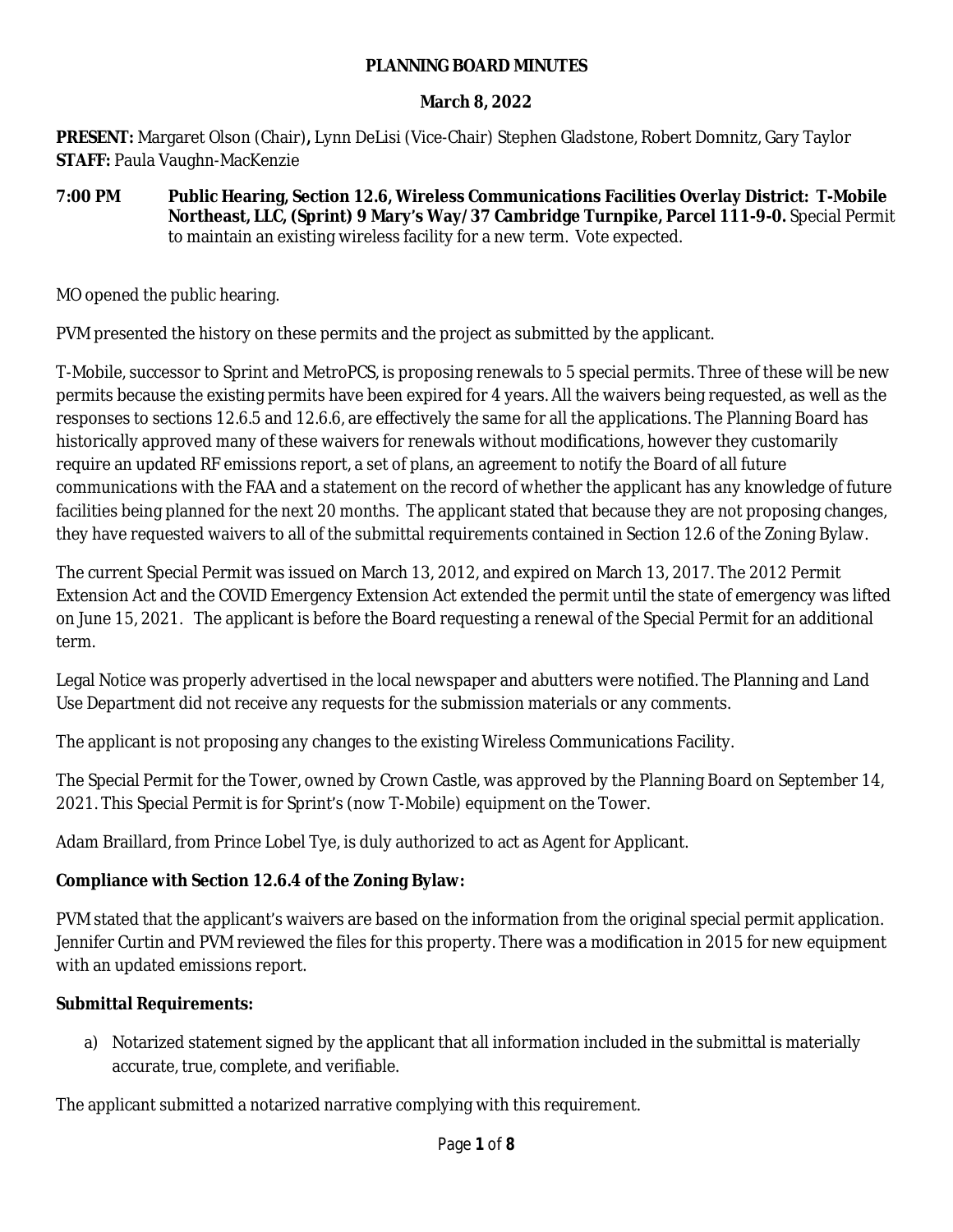#### **PLANNING BOARD MINUTES**

#### **March 8, 2022**

**PRESENT:** Margaret Olson (Chair)**,** Lynn DeLisi (Vice-Chair) Stephen Gladstone, Robert Domnitz, Gary Taylor **STAFF:** Paula Vaughn-MacKenzie

#### **7:00 PM Public Hearing, Section 12.6, Wireless Communications Facilities Overlay District: T-Mobile Northeast, LLC, (Sprint) 9 Mary's Way/37 Cambridge Turnpike, Parcel 111-9-0.** Special Permit to maintain an existing wireless facility for a new term. Vote expected.

MO opened the public hearing.

PVM presented the history on these permits and the project as submitted by the applicant.

T-Mobile, successor to Sprint and MetroPCS, is proposing renewals to 5 special permits. Three of these will be new permits because the existing permits have been expired for 4 years. All the waivers being requested, as well as the responses to sections 12.6.5 and 12.6.6, are effectively the same for all the applications. The Planning Board has historically approved many of these waivers for renewals without modifications, however they customarily require an updated RF emissions report, a set of plans, an agreement to notify the Board of all future communications with the FAA and a statement on the record of whether the applicant has any knowledge of future facilities being planned for the next 20 months. The applicant stated that because they are not proposing changes, they have requested waivers to all of the submittal requirements contained in Section 12.6 of the Zoning Bylaw.

The current Special Permit was issued on March 13, 2012, and expired on March 13, 2017. The 2012 Permit Extension Act and the COVID Emergency Extension Act extended the permit until the state of emergency was lifted on June 15, 2021. The applicant is before the Board requesting a renewal of the Special Permit for an additional term.

Legal Notice was properly advertised in the local newspaper and abutters were notified. The Planning and Land Use Department did not receive any requests for the submission materials or any comments.

The applicant is not proposing any changes to the existing Wireless Communications Facility.

The Special Permit for the Tower, owned by Crown Castle, was approved by the Planning Board on September 14, 2021. This Special Permit is for Sprint's (now T-Mobile) equipment on the Tower.

Adam Braillard, from Prince Lobel Tye, is duly authorized to act as Agent for Applicant.

# **Compliance with Section 12.6.4 of the Zoning Bylaw:**

PVM stated that the applicant's waivers are based on the information from the original special permit application. Jennifer Curtin and PVM reviewed the files for this property. There was a modification in 2015 for new equipment with an updated emissions report.

# **Submittal Requirements:**

a) Notarized statement signed by the applicant that all information included in the submittal is materially accurate, true, complete, and verifiable.

The applicant submitted a notarized narrative complying with this requirement.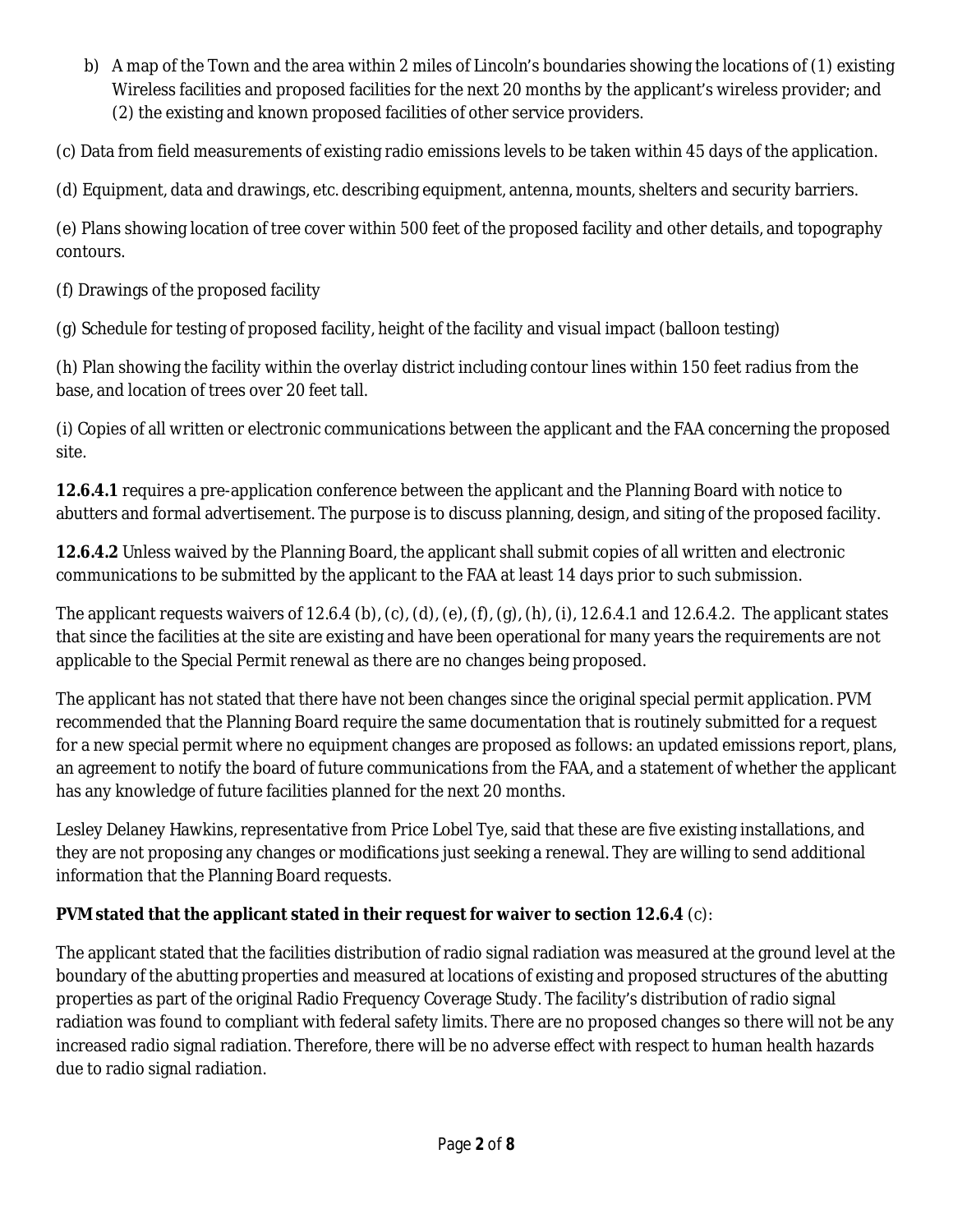b) A map of the Town and the area within 2 miles of Lincoln's boundaries showing the locations of (1) existing Wireless facilities and proposed facilities for the next 20 months by the applicant's wireless provider; and (2) the existing and known proposed facilities of other service providers.

(c) Data from field measurements of existing radio emissions levels to be taken within 45 days of the application.

(d) Equipment, data and drawings, etc. describing equipment, antenna, mounts, shelters and security barriers.

(e) Plans showing location of tree cover within 500 feet of the proposed facility and other details, and topography contours.

(f) Drawings of the proposed facility

(g) Schedule for testing of proposed facility, height of the facility and visual impact (balloon testing)

(h) Plan showing the facility within the overlay district including contour lines within 150 feet radius from the base, and location of trees over 20 feet tall.

(i) Copies of all written or electronic communications between the applicant and the FAA concerning the proposed site.

**12.6.4.1** requires a pre-application conference between the applicant and the Planning Board with notice to abutters and formal advertisement. The purpose is to discuss planning, design, and siting of the proposed facility.

**12.6.4.2** Unless waived by the Planning Board, the applicant shall submit copies of all written and electronic communications to be submitted by the applicant to the FAA at least 14 days prior to such submission.

The applicant requests waivers of 12.6.4 (b), (c), (d), (e), (f), (g), (h), (i), 12.6.4.1 and 12.6.4.2. The applicant states that since the facilities at the site are existing and have been operational for many years the requirements are not applicable to the Special Permit renewal as there are no changes being proposed.

The applicant has not stated that there have not been changes since the original special permit application. PVM recommended that the Planning Board require the same documentation that is routinely submitted for a request for a new special permit where no equipment changes are proposed as follows: an updated emissions report, plans, an agreement to notify the board of future communications from the FAA, and a statement of whether the applicant has any knowledge of future facilities planned for the next 20 months.

Lesley Delaney Hawkins, representative from Price Lobel Tye, said that these are five existing installations, and they are not proposing any changes or modifications just seeking a renewal. They are willing to send additional information that the Planning Board requests.

# **PVM stated that the applicant stated in their request for waiver to section 12.6.4** (c):

The applicant stated that the facilities distribution of radio signal radiation was measured at the ground level at the boundary of the abutting properties and measured at locations of existing and proposed structures of the abutting properties as part of the original Radio Frequency Coverage Study. The facility's distribution of radio signal radiation was found to compliant with federal safety limits. There are no proposed changes so there will not be any increased radio signal radiation. Therefore, there will be no adverse effect with respect to human health hazards due to radio signal radiation.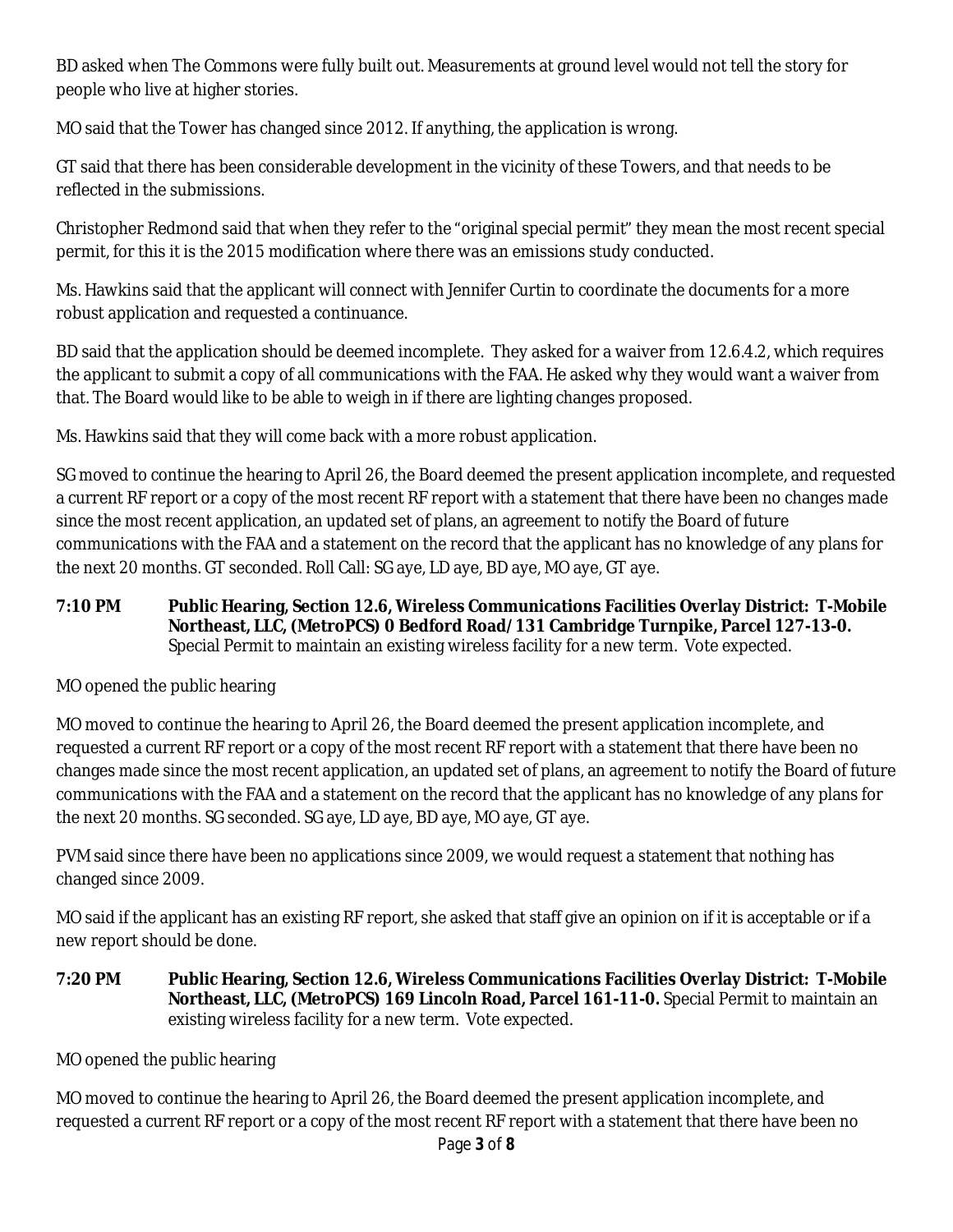BD asked when The Commons were fully built out. Measurements at ground level would not tell the story for people who live at higher stories.

MO said that the Tower has changed since 2012. If anything, the application is wrong.

GT said that there has been considerable development in the vicinity of these Towers, and that needs to be reflected in the submissions.

Christopher Redmond said that when they refer to the "original special permit" they mean the most recent special permit, for this it is the 2015 modification where there was an emissions study conducted.

Ms. Hawkins said that the applicant will connect with Jennifer Curtin to coordinate the documents for a more robust application and requested a continuance.

BD said that the application should be deemed incomplete. They asked for a waiver from 12.6.4.2, which requires the applicant to submit a copy of all communications with the FAA. He asked why they would want a waiver from that. The Board would like to be able to weigh in if there are lighting changes proposed.

Ms. Hawkins said that they will come back with a more robust application.

SG moved to continue the hearing to April 26, the Board deemed the present application incomplete, and requested a current RF report or a copy of the most recent RF report with a statement that there have been no changes made since the most recent application, an updated set of plans, an agreement to notify the Board of future communications with the FAA and a statement on the record that the applicant has no knowledge of any plans for the next 20 months. GT seconded. Roll Call: SG aye, LD aye, BD aye, MO aye, GT aye.

**7:10 PM Public Hearing, Section 12.6, Wireless Communications Facilities Overlay District: T-Mobile Northeast, LLC, (MetroPCS) 0 Bedford Road/131 Cambridge Turnpike, Parcel 127-13-0.**  Special Permit to maintain an existing wireless facility for a new term. Vote expected.

MO opened the public hearing

MO moved to continue the hearing to April 26, the Board deemed the present application incomplete, and requested a current RF report or a copy of the most recent RF report with a statement that there have been no changes made since the most recent application, an updated set of plans, an agreement to notify the Board of future communications with the FAA and a statement on the record that the applicant has no knowledge of any plans for the next 20 months. SG seconded. SG aye, LD aye, BD aye, MO aye, GT aye.

PVM said since there have been no applications since 2009, we would request a statement that nothing has changed since 2009.

MO said if the applicant has an existing RF report, she asked that staff give an opinion on if it is acceptable or if a new report should be done.

**7:20 PM Public Hearing, Section 12.6, Wireless Communications Facilities Overlay District: T-Mobile Northeast, LLC, (MetroPCS) 169 Lincoln Road, Parcel 161-11-0.** Special Permit to maintain an existing wireless facility for a new term. Vote expected.

MO opened the public hearing

MO moved to continue the hearing to April 26, the Board deemed the present application incomplete, and requested a current RF report or a copy of the most recent RF report with a statement that there have been no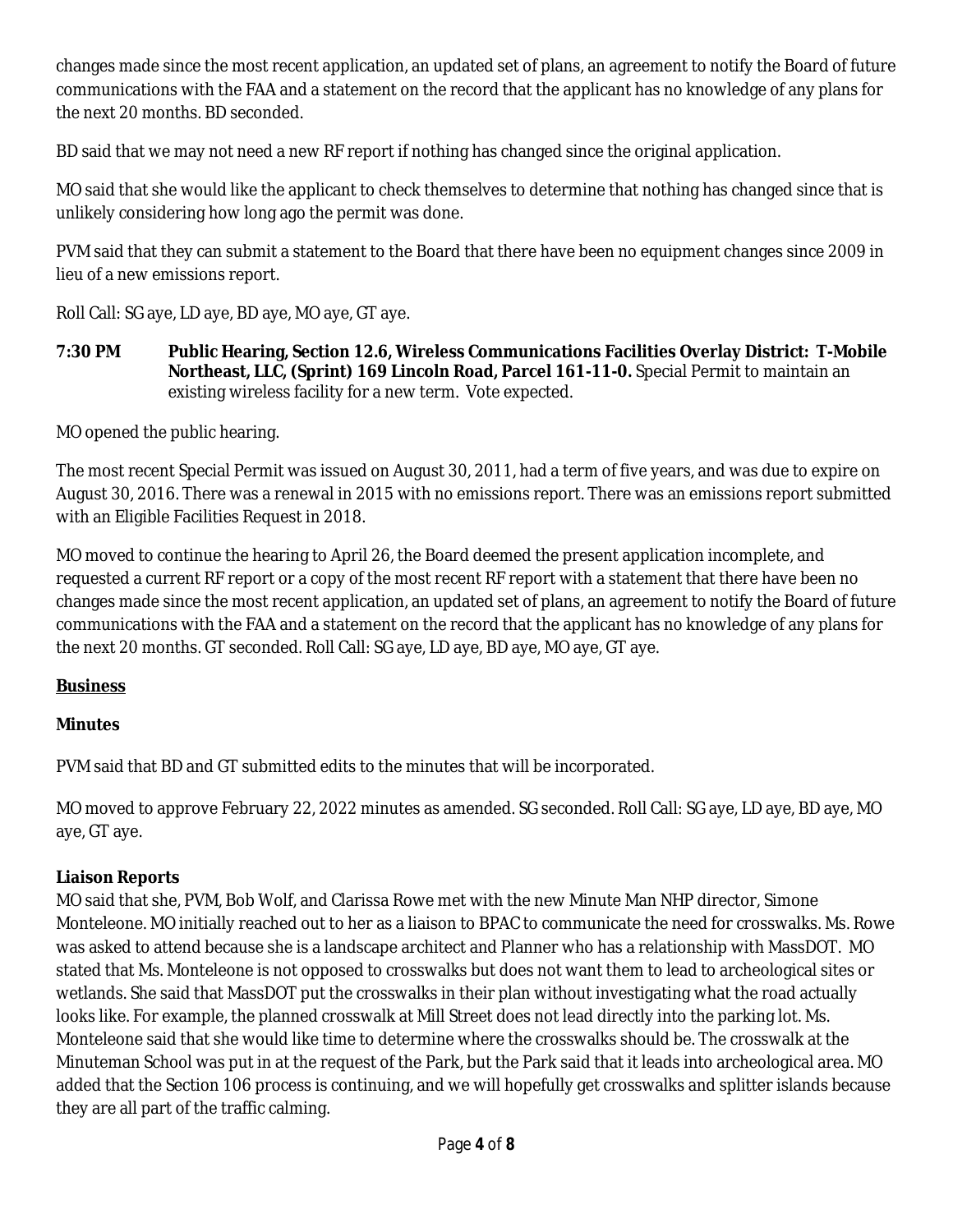changes made since the most recent application, an updated set of plans, an agreement to notify the Board of future communications with the FAA and a statement on the record that the applicant has no knowledge of any plans for the next 20 months. BD seconded.

BD said that we may not need a new RF report if nothing has changed since the original application.

MO said that she would like the applicant to check themselves to determine that nothing has changed since that is unlikely considering how long ago the permit was done.

PVM said that they can submit a statement to the Board that there have been no equipment changes since 2009 in lieu of a new emissions report.

Roll Call: SG aye, LD aye, BD aye, MO aye, GT aye.

**7:30 PM Public Hearing, Section 12.6, Wireless Communications Facilities Overlay District: T-Mobile Northeast, LLC, (Sprint) 169 Lincoln Road, Parcel 161-11-0.** Special Permit to maintain an existing wireless facility for a new term. Vote expected.

MO opened the public hearing.

The most recent Special Permit was issued on August 30, 2011, had a term of five years, and was due to expire on August 30, 2016. There was a renewal in 2015 with no emissions report. There was an emissions report submitted with an Eligible Facilities Request in 2018.

MO moved to continue the hearing to April 26, the Board deemed the present application incomplete, and requested a current RF report or a copy of the most recent RF report with a statement that there have been no changes made since the most recent application, an updated set of plans, an agreement to notify the Board of future communications with the FAA and a statement on the record that the applicant has no knowledge of any plans for the next 20 months. GT seconded. Roll Call: SG aye, LD aye, BD aye, MO aye, GT aye.

# **Business**

# **Minutes**

PVM said that BD and GT submitted edits to the minutes that will be incorporated.

MO moved to approve February 22, 2022 minutes as amended. SG seconded. Roll Call: SG aye, LD aye, BD aye, MO aye, GT aye.

# **Liaison Reports**

MO said that she, PVM, Bob Wolf, and Clarissa Rowe met with the new Minute Man NHP director, Simone Monteleone. MO initially reached out to her as a liaison to BPAC to communicate the need for crosswalks. Ms. Rowe was asked to attend because she is a landscape architect and Planner who has a relationship with MassDOT. MO stated that Ms. Monteleone is not opposed to crosswalks but does not want them to lead to archeological sites or wetlands. She said that MassDOT put the crosswalks in their plan without investigating what the road actually looks like. For example, the planned crosswalk at Mill Street does not lead directly into the parking lot. Ms. Monteleone said that she would like time to determine where the crosswalks should be. The crosswalk at the Minuteman School was put in at the request of the Park, but the Park said that it leads into archeological area. MO added that the Section 106 process is continuing, and we will hopefully get crosswalks and splitter islands because they are all part of the traffic calming.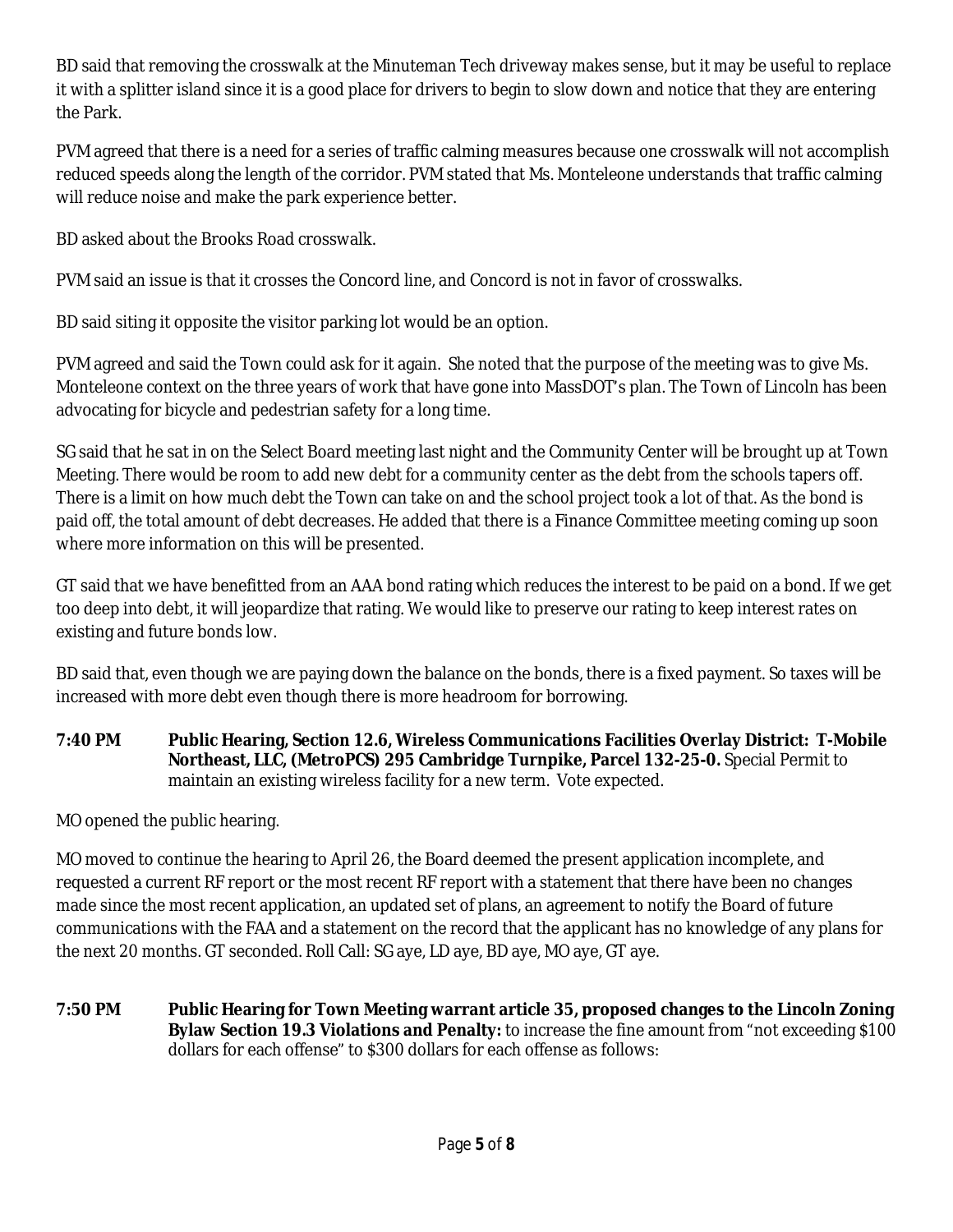BD said that removing the crosswalk at the Minuteman Tech driveway makes sense, but it may be useful to replace it with a splitter island since it is a good place for drivers to begin to slow down and notice that they are entering the Park.

PVM agreed that there is a need for a series of traffic calming measures because one crosswalk will not accomplish reduced speeds along the length of the corridor. PVM stated that Ms. Monteleone understands that traffic calming will reduce noise and make the park experience better.

BD asked about the Brooks Road crosswalk.

PVM said an issue is that it crosses the Concord line, and Concord is not in favor of crosswalks.

BD said siting it opposite the visitor parking lot would be an option.

PVM agreed and said the Town could ask for it again. She noted that the purpose of the meeting was to give Ms. Monteleone context on the three years of work that have gone into MassDOT's plan. The Town of Lincoln has been advocating for bicycle and pedestrian safety for a long time.

SG said that he sat in on the Select Board meeting last night and the Community Center will be brought up at Town Meeting. There would be room to add new debt for a community center as the debt from the schools tapers off. There is a limit on how much debt the Town can take on and the school project took a lot of that. As the bond is paid off, the total amount of debt decreases. He added that there is a Finance Committee meeting coming up soon where more information on this will be presented.

GT said that we have benefitted from an AAA bond rating which reduces the interest to be paid on a bond. If we get too deep into debt, it will jeopardize that rating. We would like to preserve our rating to keep interest rates on existing and future bonds low.

BD said that, even though we are paying down the balance on the bonds, there is a fixed payment. So taxes will be increased with more debt even though there is more headroom for borrowing.

**7:40 PM Public Hearing, Section 12.6, Wireless Communications Facilities Overlay District: T-Mobile Northeast, LLC, (MetroPCS) 295 Cambridge Turnpike, Parcel 132-25-0.** Special Permit to maintain an existing wireless facility for a new term. Vote expected.

MO opened the public hearing.

MO moved to continue the hearing to April 26, the Board deemed the present application incomplete, and requested a current RF report or the most recent RF report with a statement that there have been no changes made since the most recent application, an updated set of plans, an agreement to notify the Board of future communications with the FAA and a statement on the record that the applicant has no knowledge of any plans for the next 20 months. GT seconded. Roll Call: SG aye, LD aye, BD aye, MO aye, GT aye.

**7:50 PM Public Hearing for Town Meeting warrant article 35, proposed changes to the Lincoln Zoning Bylaw Section 19.3 Violations and Penalty:** to increase the fine amount from "not exceeding \$100 dollars for each offense" to \$300 dollars for each offense as follows: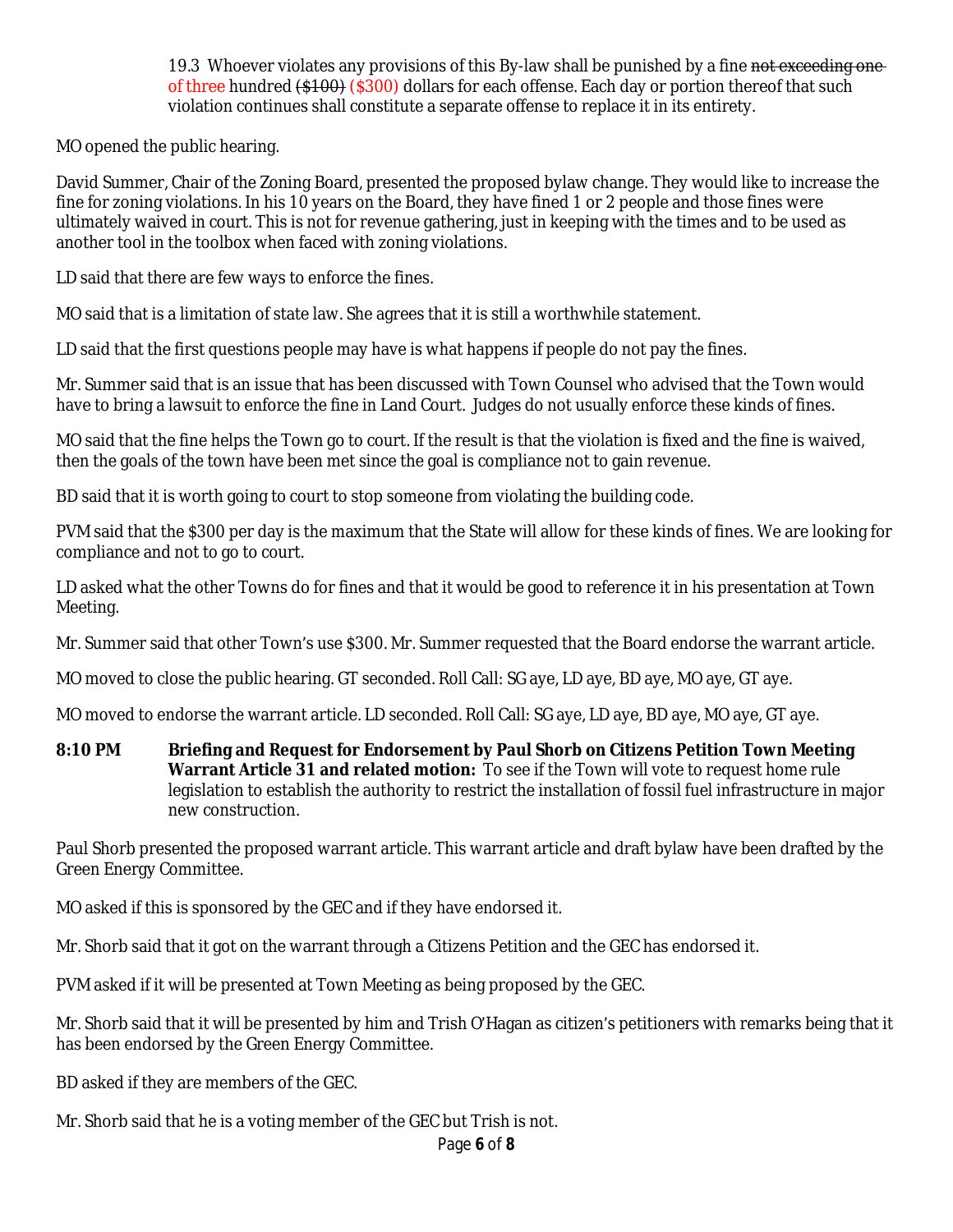19.3 Whoever violates any provisions of this By-law shall be punished by a fine not exceeding one of three hundred  $(1, 1, 0)$  ( $(300)$  dollars for each offense. Each day or portion thereof that such violation continues shall constitute a separate offense to replace it in its entirety.

MO opened the public hearing.

David Summer, Chair of the Zoning Board, presented the proposed bylaw change. They would like to increase the fine for zoning violations. In his 10 years on the Board, they have fined 1 or 2 people and those fines were ultimately waived in court. This is not for revenue gathering, just in keeping with the times and to be used as another tool in the toolbox when faced with zoning violations.

LD said that there are few ways to enforce the fines.

MO said that is a limitation of state law. She agrees that it is still a worthwhile statement.

LD said that the first questions people may have is what happens if people do not pay the fines.

Mr. Summer said that is an issue that has been discussed with Town Counsel who advised that the Town would have to bring a lawsuit to enforce the fine in Land Court. Judges do not usually enforce these kinds of fines.

MO said that the fine helps the Town go to court. If the result is that the violation is fixed and the fine is waived, then the goals of the town have been met since the goal is compliance not to gain revenue.

BD said that it is worth going to court to stop someone from violating the building code.

PVM said that the \$300 per day is the maximum that the State will allow for these kinds of fines. We are looking for compliance and not to go to court.

LD asked what the other Towns do for fines and that it would be good to reference it in his presentation at Town Meeting.

Mr. Summer said that other Town's use \$300. Mr. Summer requested that the Board endorse the warrant article.

MO moved to close the public hearing. GT seconded. Roll Call: SG aye, LD aye, BD aye, MO aye, GT aye.

MO moved to endorse the warrant article. LD seconded. Roll Call: SG aye, LD aye, BD aye, MO aye, GT aye.

**8:10 PM Briefing and Request for Endorsement by Paul Shorb on Citizens Petition Town Meeting Warrant Article 31 and related motion:** To see if the Town will vote to request home rule legislation to establish the authority to restrict the installation of fossil fuel infrastructure in major new construction.

Paul Shorb presented the proposed warrant article. This warrant article and draft bylaw have been drafted by the Green Energy Committee.

MO asked if this is sponsored by the GEC and if they have endorsed it.

Mr. Shorb said that it got on the warrant through a Citizens Petition and the GEC has endorsed it.

PVM asked if it will be presented at Town Meeting as being proposed by the GEC.

Mr. Shorb said that it will be presented by him and Trish O'Hagan as citizen's petitioners with remarks being that it has been endorsed by the Green Energy Committee.

BD asked if they are members of the GEC.

Mr. Shorb said that he is a voting member of the GEC but Trish is not.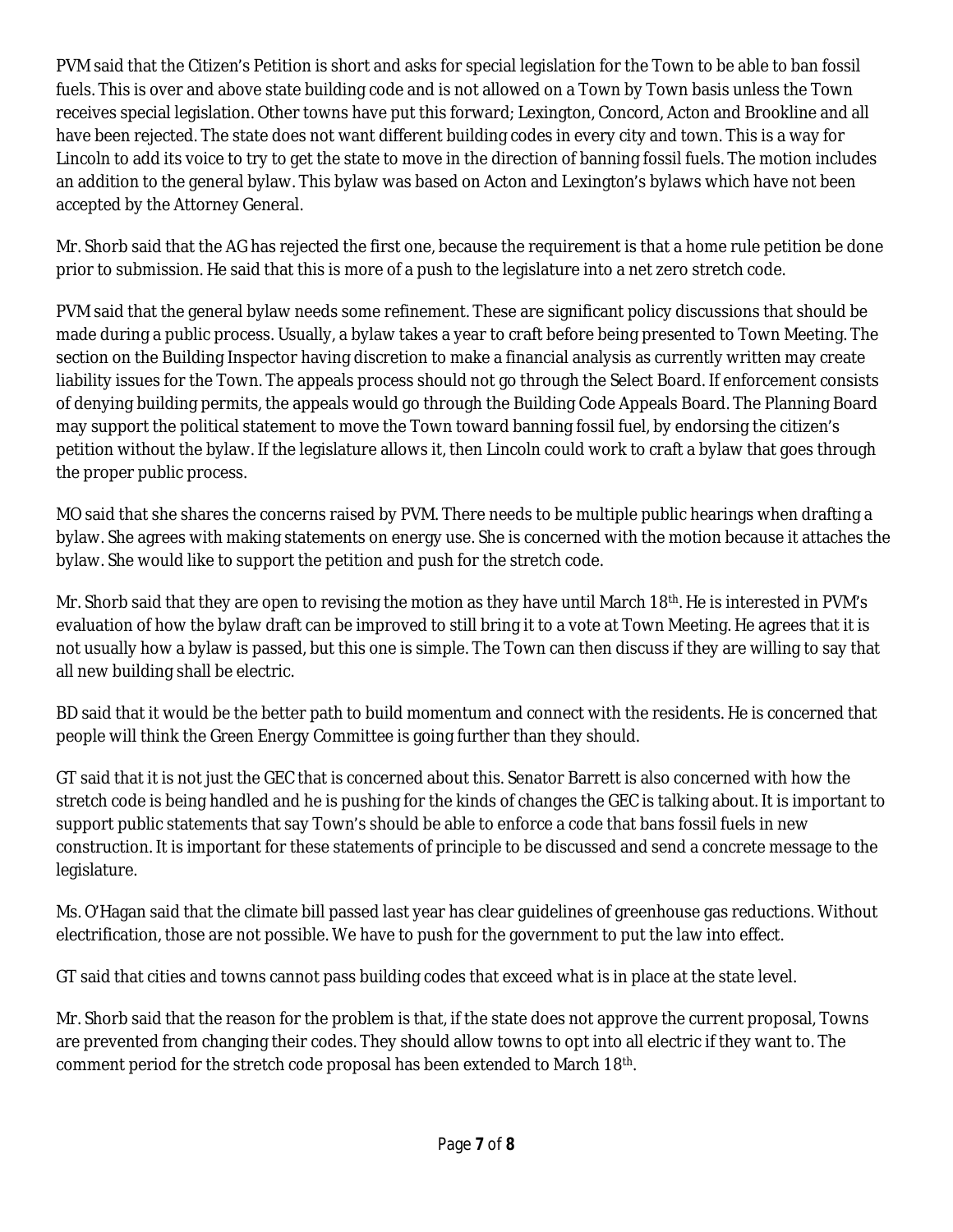PVM said that the Citizen's Petition is short and asks for special legislation for the Town to be able to ban fossil fuels. This is over and above state building code and is not allowed on a Town by Town basis unless the Town receives special legislation. Other towns have put this forward; Lexington, Concord, Acton and Brookline and all have been rejected. The state does not want different building codes in every city and town. This is a way for Lincoln to add its voice to try to get the state to move in the direction of banning fossil fuels. The motion includes an addition to the general bylaw. This bylaw was based on Acton and Lexington's bylaws which have not been accepted by the Attorney General.

Mr. Shorb said that the AG has rejected the first one, because the requirement is that a home rule petition be done prior to submission. He said that this is more of a push to the legislature into a net zero stretch code.

PVM said that the general bylaw needs some refinement. These are significant policy discussions that should be made during a public process. Usually, a bylaw takes a year to craft before being presented to Town Meeting. The section on the Building Inspector having discretion to make a financial analysis as currently written may create liability issues for the Town. The appeals process should not go through the Select Board. If enforcement consists of denying building permits, the appeals would go through the Building Code Appeals Board. The Planning Board may support the political statement to move the Town toward banning fossil fuel, by endorsing the citizen's petition without the bylaw. If the legislature allows it, then Lincoln could work to craft a bylaw that goes through the proper public process.

MO said that she shares the concerns raised by PVM. There needs to be multiple public hearings when drafting a bylaw. She agrees with making statements on energy use. She is concerned with the motion because it attaches the bylaw. She would like to support the petition and push for the stretch code.

Mr. Shorb said that they are open to revising the motion as they have until March 18<sup>th</sup>. He is interested in PVM's evaluation of how the bylaw draft can be improved to still bring it to a vote at Town Meeting. He agrees that it is not usually how a bylaw is passed, but this one is simple. The Town can then discuss if they are willing to say that all new building shall be electric.

BD said that it would be the better path to build momentum and connect with the residents. He is concerned that people will think the Green Energy Committee is going further than they should.

GT said that it is not just the GEC that is concerned about this. Senator Barrett is also concerned with how the stretch code is being handled and he is pushing for the kinds of changes the GEC is talking about. It is important to support public statements that say Town's should be able to enforce a code that bans fossil fuels in new construction. It is important for these statements of principle to be discussed and send a concrete message to the legislature.

Ms. O'Hagan said that the climate bill passed last year has clear guidelines of greenhouse gas reductions. Without electrification, those are not possible. We have to push for the government to put the law into effect.

GT said that cities and towns cannot pass building codes that exceed what is in place at the state level.

Mr. Shorb said that the reason for the problem is that, if the state does not approve the current proposal, Towns are prevented from changing their codes. They should allow towns to opt into all electric if they want to. The comment period for the stretch code proposal has been extended to March 18<sup>th</sup>.